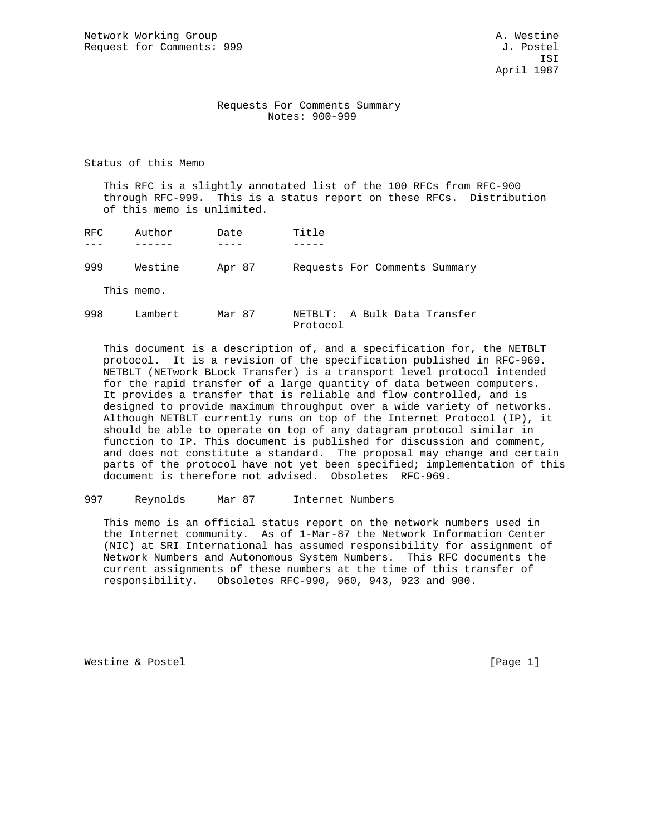Network Working Group and A. Westine A. Westine Request for Comments: 999 J. Postel

#### Requests For Comments Summary Notes: 900-999

Status of this Memo

 This RFC is a slightly annotated list of the 100 RFCs from RFC-900 through RFC-999. This is a status report on these RFCs. Distribution of this memo is unlimited.

| RFC. | Author     | Date   | Title                         |
|------|------------|--------|-------------------------------|
|      |            |        |                               |
| 999  | Westine    | Apr 87 | Requests For Comments Summary |
|      | This memo. |        |                               |

| 998 | Lambert | Mar 87 | NETBLT: A Bulk Data Transfer |  |  |
|-----|---------|--------|------------------------------|--|--|
|     |         |        | Protocol                     |  |  |

 This document is a description of, and a specification for, the NETBLT protocol. It is a revision of the specification published in RFC-969. NETBLT (NETwork BLock Transfer) is a transport level protocol intended for the rapid transfer of a large quantity of data between computers. It provides a transfer that is reliable and flow controlled, and is designed to provide maximum throughput over a wide variety of networks. Although NETBLT currently runs on top of the Internet Protocol (IP), it should be able to operate on top of any datagram protocol similar in function to IP. This document is published for discussion and comment, and does not constitute a standard. The proposal may change and certain parts of the protocol have not yet been specified; implementation of this document is therefore not advised. Obsoletes RFC-969.

997 Reynolds Mar 87 Internet Numbers

 This memo is an official status report on the network numbers used in the Internet community. As of 1-Mar-87 the Network Information Center (NIC) at SRI International has assumed responsibility for assignment of Network Numbers and Autonomous System Numbers. This RFC documents the current assignments of these numbers at the time of this transfer of responsibility. Obsoletes RFC-990, 960, 943, 923 and 900.

Westine & Postel and the contract of the contract of the contract of the contract of the contract of the contract of the contract of the contract of the contract of the contract of the contract of the contract of the contr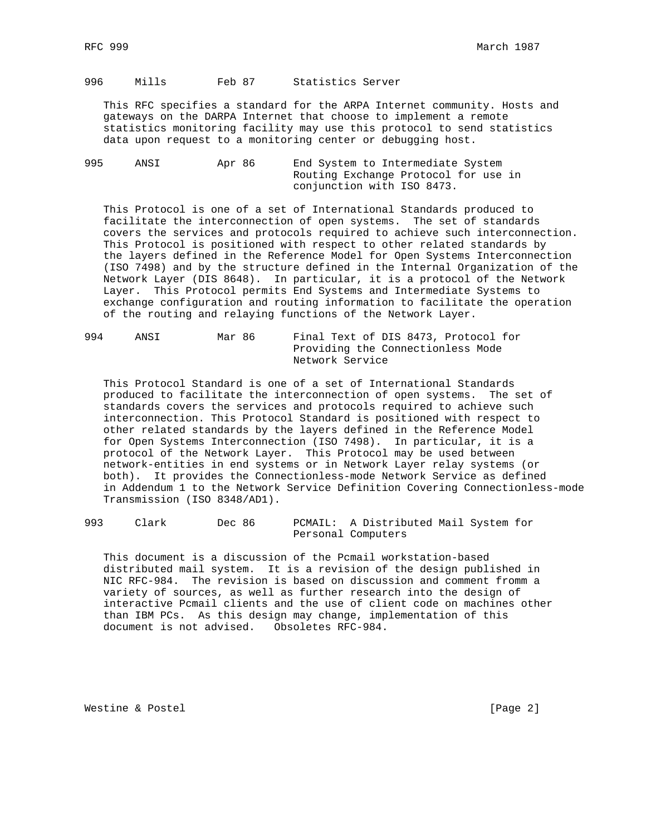996 Mills Feb 87 Statistics Server

 This RFC specifies a standard for the ARPA Internet community. Hosts and gateways on the DARPA Internet that choose to implement a remote statistics monitoring facility may use this protocol to send statistics data upon request to a monitoring center or debugging host.

995 ANSI Apr 86 End System to Intermediate System Routing Exchange Protocol for use in conjunction with ISO 8473.

 This Protocol is one of a set of International Standards produced to facilitate the interconnection of open systems. The set of standards covers the services and protocols required to achieve such interconnection. This Protocol is positioned with respect to other related standards by the layers defined in the Reference Model for Open Systems Interconnection (ISO 7498) and by the structure defined in the Internal Organization of the Network Layer (DIS 8648). In particular, it is a protocol of the Network Layer. This Protocol permits End Systems and Intermediate Systems to exchange configuration and routing information to facilitate the operation of the routing and relaying functions of the Network Layer.

| 994 | ANSI | Mar 86 | Final Text of DIS 8473, Protocol for |  |  |  |  |  |
|-----|------|--------|--------------------------------------|--|--|--|--|--|
|     |      |        | Providing the Connectionless Mode    |  |  |  |  |  |
|     |      |        | Network Service                      |  |  |  |  |  |

 This Protocol Standard is one of a set of International Standards produced to facilitate the interconnection of open systems. The set of standards covers the services and protocols required to achieve such interconnection. This Protocol Standard is positioned with respect to other related standards by the layers defined in the Reference Model for Open Systems Interconnection (ISO 7498). In particular, it is a protocol of the Network Layer. This Protocol may be used between network-entities in end systems or in Network Layer relay systems (or both). It provides the Connectionless-mode Network Service as defined in Addendum 1 to the Network Service Definition Covering Connectionless-mode Transmission (ISO 8348/AD1).

993 Clark Dec 86 PCMAIL: A Distributed Mail System for Personal Computers

 This document is a discussion of the Pcmail workstation-based distributed mail system. It is a revision of the design published in NIC RFC-984. The revision is based on discussion and comment fromm a variety of sources, as well as further research into the design of interactive Pcmail clients and the use of client code on machines other than IBM PCs. As this design may change, implementation of this document is not advised. Obsoletes RFC-984.

Westine & Postel and the contract of the contract of the contract of the contract of  $[Page 2]$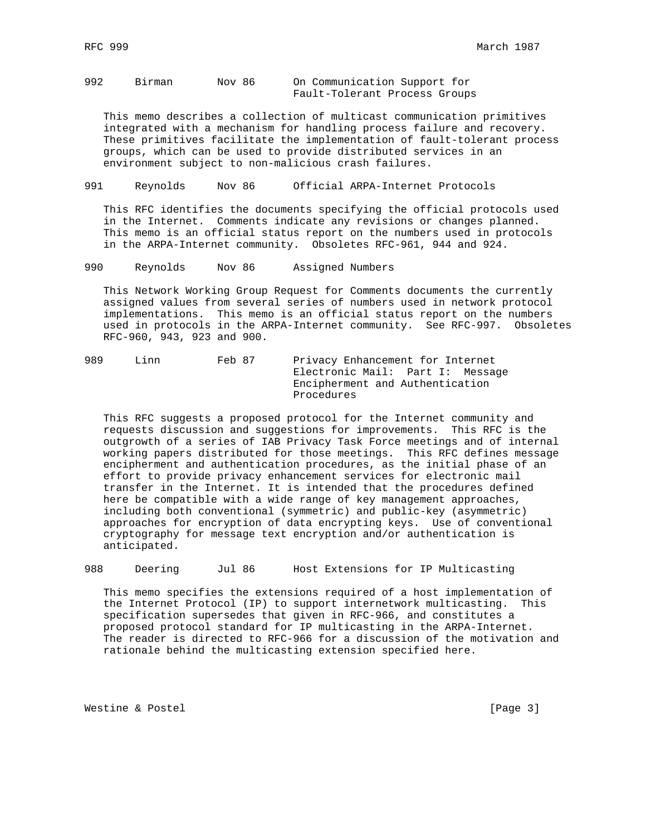992 Birman Nov 86 On Communication Support for Fault-Tolerant Process Groups

 This memo describes a collection of multicast communication primitives integrated with a mechanism for handling process failure and recovery. These primitives facilitate the implementation of fault-tolerant process groups, which can be used to provide distributed services in an environment subject to non-malicious crash failures.

991 Reynolds Nov 86 Official ARPA-Internet Protocols

 This RFC identifies the documents specifying the official protocols used in the Internet. Comments indicate any revisions or changes planned. This memo is an official status report on the numbers used in protocols in the ARPA-Internet community. Obsoletes RFC-961, 944 and 924.

990 Reynolds Nov 86 Assigned Numbers

 This Network Working Group Request for Comments documents the currently assigned values from several series of numbers used in network protocol implementations. This memo is an official status report on the numbers used in protocols in the ARPA-Internet community. See RFC-997. Obsoletes RFC-960, 943, 923 and 900.

| 989 | Linn | Feb 87 | Privacy Enhancement for Internet |
|-----|------|--------|----------------------------------|
|     |      |        | Electronic Mail: Part I: Message |
|     |      |        | Encipherment and Authentication  |
|     |      |        | Procedures                       |

 This RFC suggests a proposed protocol for the Internet community and requests discussion and suggestions for improvements. This RFC is the outgrowth of a series of IAB Privacy Task Force meetings and of internal working papers distributed for those meetings. This RFC defines message encipherment and authentication procedures, as the initial phase of an effort to provide privacy enhancement services for electronic mail transfer in the Internet. It is intended that the procedures defined here be compatible with a wide range of key management approaches, including both conventional (symmetric) and public-key (asymmetric) approaches for encryption of data encrypting keys. Use of conventional cryptography for message text encryption and/or authentication is anticipated.

988 Deering Jul 86 Host Extensions for IP Multicasting

 This memo specifies the extensions required of a host implementation of the Internet Protocol (IP) to support internetwork multicasting. This specification supersedes that given in RFC-966, and constitutes a proposed protocol standard for IP multicasting in the ARPA-Internet. The reader is directed to RFC-966 for a discussion of the motivation and rationale behind the multicasting extension specified here.

Westine & Postel and the contract of the contract of the contract of the contract of the contract of the contract of the contract of the contract of the contract of the contract of the contract of the contract of the contr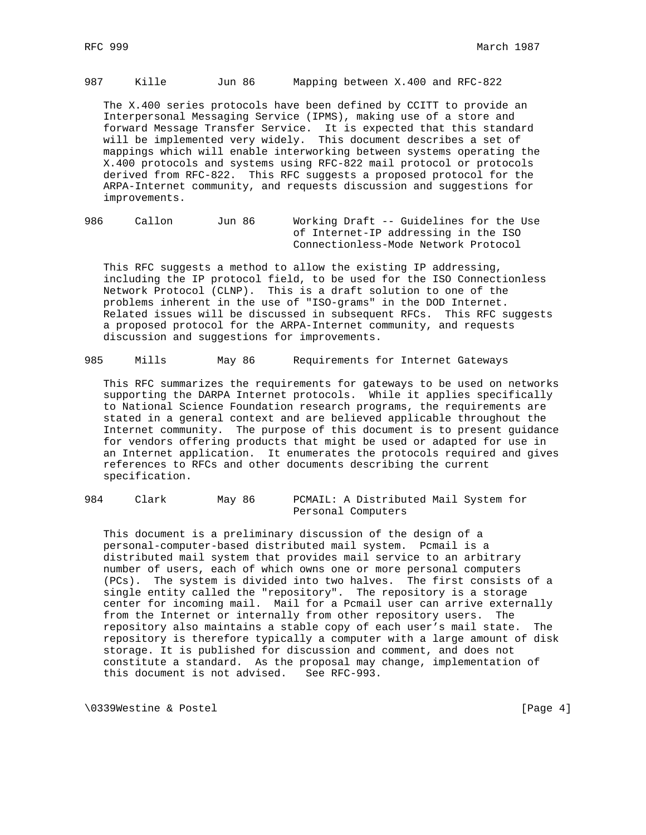987 Kille Jun 86 Mapping between X.400 and RFC-822

 The X.400 series protocols have been defined by CCITT to provide an Interpersonal Messaging Service (IPMS), making use of a store and forward Message Transfer Service. It is expected that this standard will be implemented very widely. This document describes a set of mappings which will enable interworking between systems operating the X.400 protocols and systems using RFC-822 mail protocol or protocols derived from RFC-822. This RFC suggests a proposed protocol for the ARPA-Internet community, and requests discussion and suggestions for improvements.

986 Callon Jun 86 Working Draft -- Guidelines for the Use of Internet-IP addressing in the ISO Connectionless-Mode Network Protocol

 This RFC suggests a method to allow the existing IP addressing, including the IP protocol field, to be used for the ISO Connectionless Network Protocol (CLNP). This is a draft solution to one of the problems inherent in the use of "ISO-grams" in the DOD Internet. Related issues will be discussed in subsequent RFCs. This RFC suggests a proposed protocol for the ARPA-Internet community, and requests discussion and suggestions for improvements.

985 Mills May 86 Requirements for Internet Gateways

 This RFC summarizes the requirements for gateways to be used on networks supporting the DARPA Internet protocols. While it applies specifically to National Science Foundation research programs, the requirements are stated in a general context and are believed applicable throughout the Internet community. The purpose of this document is to present guidance for vendors offering products that might be used or adapted for use in an Internet application. It enumerates the protocols required and gives references to RFCs and other documents describing the current specification.

### 984 Clark May 86 PCMAIL: A Distributed Mail System for Personal Computers

 This document is a preliminary discussion of the design of a personal-computer-based distributed mail system. Pcmail is a distributed mail system that provides mail service to an arbitrary number of users, each of which owns one or more personal computers (PCs). The system is divided into two halves. The first consists of a single entity called the "repository". The repository is a storage center for incoming mail. Mail for a Pcmail user can arrive externally from the Internet or internally from other repository users. The repository also maintains a stable copy of each user's mail state. The repository is therefore typically a computer with a large amount of disk storage. It is published for discussion and comment, and does not constitute a standard. As the proposal may change, implementation of this document is not advised. See RFC-993.

\0339Westine & Postel [Page 4]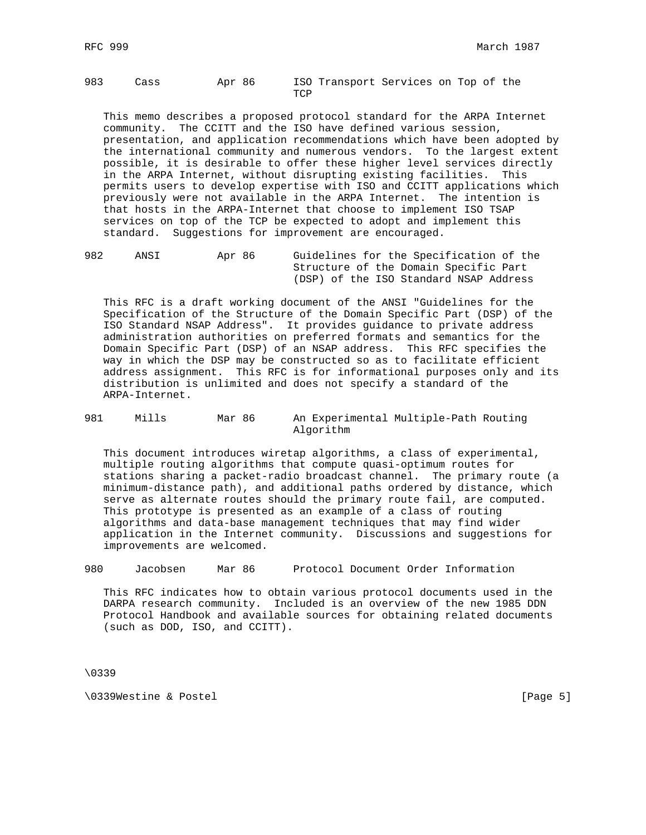983 Cass Apr 86 ISO Transport Services on Top of the **TCP** 

 This memo describes a proposed protocol standard for the ARPA Internet community. The CCITT and the ISO have defined various session, presentation, and application recommendations which have been adopted by the international community and numerous vendors. To the largest extent possible, it is desirable to offer these higher level services directly in the ARPA Internet, without disrupting existing facilities. This permits users to develop expertise with ISO and CCITT applications which previously were not available in the ARPA Internet. The intention is that hosts in the ARPA-Internet that choose to implement ISO TSAP services on top of the TCP be expected to adopt and implement this standard. Suggestions for improvement are encouraged.

982 ANSI Apr 86 Guidelines for the Specification of the Structure of the Domain Specific Part (DSP) of the ISO Standard NSAP Address

 This RFC is a draft working document of the ANSI "Guidelines for the Specification of the Structure of the Domain Specific Part (DSP) of the ISO Standard NSAP Address". It provides guidance to private address administration authorities on preferred formats and semantics for the Domain Specific Part (DSP) of an NSAP address. This RFC specifies the way in which the DSP may be constructed so as to facilitate efficient address assignment. This RFC is for informational purposes only and its distribution is unlimited and does not specify a standard of the ARPA-Internet.

981 Mills Mar 86 An Experimental Multiple-Path Routing Algorithm

 This document introduces wiretap algorithms, a class of experimental, multiple routing algorithms that compute quasi-optimum routes for stations sharing a packet-radio broadcast channel. The primary route (a minimum-distance path), and additional paths ordered by distance, which serve as alternate routes should the primary route fail, are computed. This prototype is presented as an example of a class of routing algorithms and data-base management techniques that may find wider application in the Internet community. Discussions and suggestions for improvements are welcomed.

980 Jacobsen Mar 86 Protocol Document Order Information

 This RFC indicates how to obtain various protocol documents used in the DARPA research community. Included is an overview of the new 1985 DDN Protocol Handbook and available sources for obtaining related documents (such as DOD, ISO, and CCITT).

\0339

\0339Westine & Postel in the contract of the contract of the contract of the contract of the contract of the contract of the contract of the contract of the contract of the contract of the contract of the contract of the c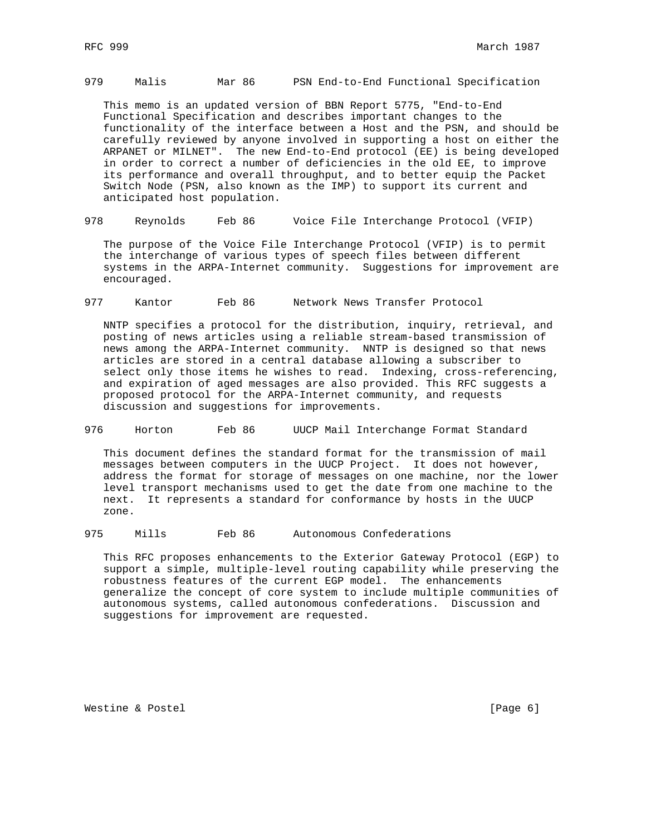# 979 Malis Mar 86 PSN End-to-End Functional Specification

 This memo is an updated version of BBN Report 5775, "End-to-End Functional Specification and describes important changes to the functionality of the interface between a Host and the PSN, and should be carefully reviewed by anyone involved in supporting a host on either the ARPANET or MILNET". The new End-to-End protocol (EE) is being developed in order to correct a number of deficiencies in the old EE, to improve its performance and overall throughput, and to better equip the Packet Switch Node (PSN, also known as the IMP) to support its current and anticipated host population.

978 Reynolds Feb 86 Voice File Interchange Protocol (VFIP)

 The purpose of the Voice File Interchange Protocol (VFIP) is to permit the interchange of various types of speech files between different systems in the ARPA-Internet community. Suggestions for improvement are encouraged.

977 Kantor Feb 86 Network News Transfer Protocol

 NNTP specifies a protocol for the distribution, inquiry, retrieval, and posting of news articles using a reliable stream-based transmission of news among the ARPA-Internet community. NNTP is designed so that news articles are stored in a central database allowing a subscriber to select only those items he wishes to read. Indexing, cross-referencing, and expiration of aged messages are also provided. This RFC suggests a proposed protocol for the ARPA-Internet community, and requests discussion and suggestions for improvements.

976 Horton Feb 86 UUCP Mail Interchange Format Standard

 This document defines the standard format for the transmission of mail messages between computers in the UUCP Project. It does not however, address the format for storage of messages on one machine, nor the lower level transport mechanisms used to get the date from one machine to the next. It represents a standard for conformance by hosts in the UUCP zone.

975 Mills Feb 86 Autonomous Confederations

 This RFC proposes enhancements to the Exterior Gateway Protocol (EGP) to support a simple, multiple-level routing capability while preserving the robustness features of the current EGP model. The enhancements generalize the concept of core system to include multiple communities of autonomous systems, called autonomous confederations. Discussion and suggestions for improvement are requested.

Westine & Postel and the contract of the contract of the contract of the contract of the contract of  $[Page 6]$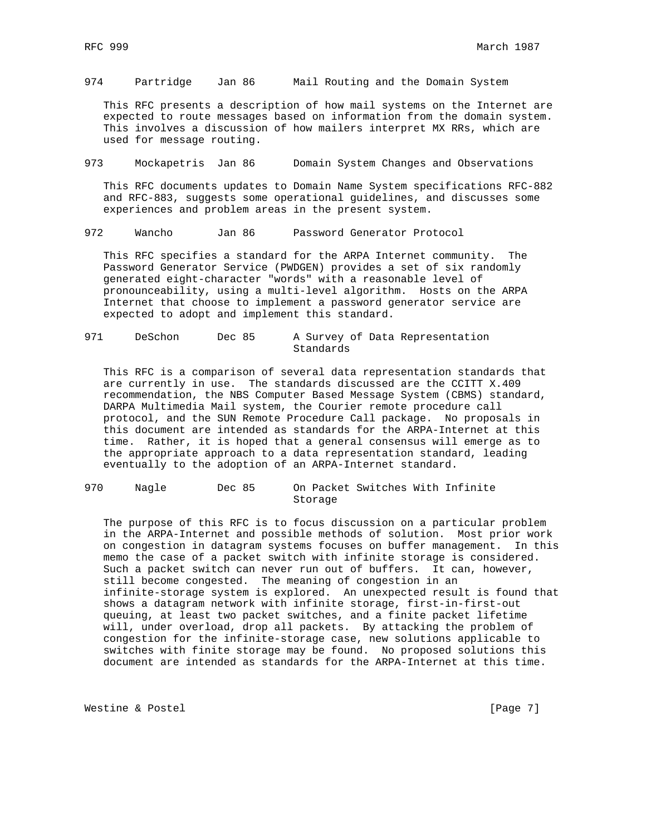974 Partridge Jan 86 Mail Routing and the Domain System

 This RFC presents a description of how mail systems on the Internet are expected to route messages based on information from the domain system. This involves a discussion of how mailers interpret MX RRs, which are used for message routing.

973 Mockapetris Jan 86 Domain System Changes and Observations

 This RFC documents updates to Domain Name System specifications RFC-882 and RFC-883, suggests some operational guidelines, and discusses some experiences and problem areas in the present system.

972 Wancho Jan 86 Password Generator Protocol

 This RFC specifies a standard for the ARPA Internet community. The Password Generator Service (PWDGEN) provides a set of six randomly generated eight-character "words" with a reasonable level of pronounceability, using a multi-level algorithm. Hosts on the ARPA Internet that choose to implement a password generator service are expected to adopt and implement this standard.

971 DeSchon Dec 85 A Survey of Data Representation Standards

 This RFC is a comparison of several data representation standards that are currently in use. The standards discussed are the CCITT X.409 recommendation, the NBS Computer Based Message System (CBMS) standard, DARPA Multimedia Mail system, the Courier remote procedure call protocol, and the SUN Remote Procedure Call package. No proposals in this document are intended as standards for the ARPA-Internet at this time. Rather, it is hoped that a general consensus will emerge as to the appropriate approach to a data representation standard, leading eventually to the adoption of an ARPA-Internet standard.

970 Nagle Dec 85 On Packet Switches With Infinite Storage

 The purpose of this RFC is to focus discussion on a particular problem in the ARPA-Internet and possible methods of solution. Most prior work on congestion in datagram systems focuses on buffer management. In this memo the case of a packet switch with infinite storage is considered. Such a packet switch can never run out of buffers. It can, however, still become congested. The meaning of congestion in an infinite-storage system is explored. An unexpected result is found that shows a datagram network with infinite storage, first-in-first-out queuing, at least two packet switches, and a finite packet lifetime will, under overload, drop all packets. By attacking the problem of congestion for the infinite-storage case, new solutions applicable to switches with finite storage may be found. No proposed solutions this document are intended as standards for the ARPA-Internet at this time.

Westine & Postel and the contract of the contract of the contract of the contract of  $[Page 7]$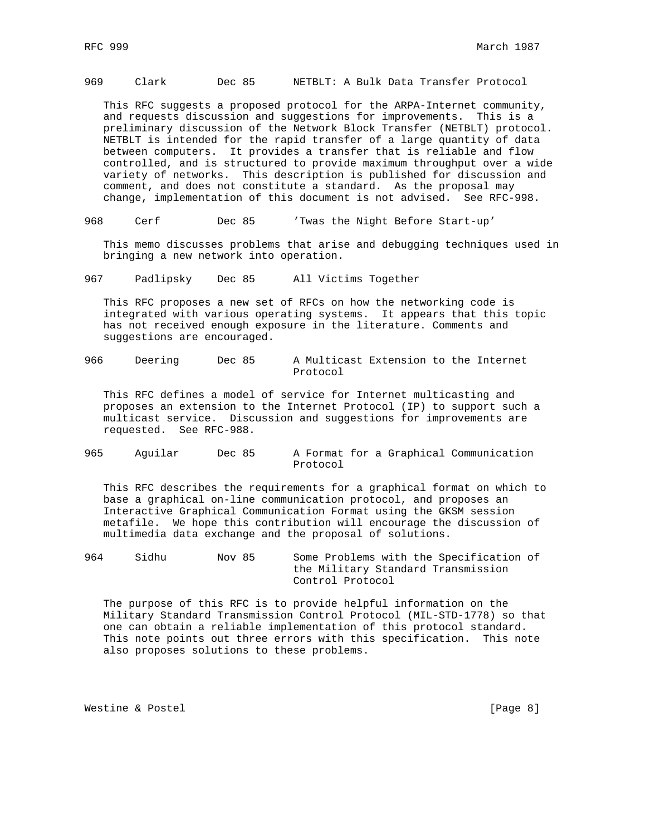## 969 Clark Dec 85 NETBLT: A Bulk Data Transfer Protocol

 This RFC suggests a proposed protocol for the ARPA-Internet community, and requests discussion and suggestions for improvements. This is a preliminary discussion of the Network Block Transfer (NETBLT) protocol. NETBLT is intended for the rapid transfer of a large quantity of data between computers. It provides a transfer that is reliable and flow controlled, and is structured to provide maximum throughput over a wide variety of networks. This description is published for discussion and comment, and does not constitute a standard. As the proposal may change, implementation of this document is not advised. See RFC-998.

968 Cerf Dec 85 'Twas the Night Before Start-up'

 This memo discusses problems that arise and debugging techniques used in bringing a new network into operation.

967 Padlipsky Dec 85 All Victims Together

 This RFC proposes a new set of RFCs on how the networking code is integrated with various operating systems. It appears that this topic has not received enough exposure in the literature. Comments and suggestions are encouraged.

966 Deering Dec 85 A Multicast Extension to the Internet Protocol

 This RFC defines a model of service for Internet multicasting and proposes an extension to the Internet Protocol (IP) to support such a multicast service. Discussion and suggestions for improvements are requested. See RFC-988.

965 Aguilar Dec 85 A Format for a Graphical Communication Protocol

 This RFC describes the requirements for a graphical format on which to base a graphical on-line communication protocol, and proposes an Interactive Graphical Communication Format using the GKSM session metafile. We hope this contribution will encourage the discussion of multimedia data exchange and the proposal of solutions.

964 Sidhu Nov 85 Some Problems with the Specification of the Military Standard Transmission Control Protocol

 The purpose of this RFC is to provide helpful information on the Military Standard Transmission Control Protocol (MIL-STD-1778) so that one can obtain a reliable implementation of this protocol standard. This note points out three errors with this specification. This note also proposes solutions to these problems.

Westine & Postel and the contract of the contract of the contract of the contract of the contract of the contract of the contract of the contract of the contract of the contract of the contract of the contract of the contr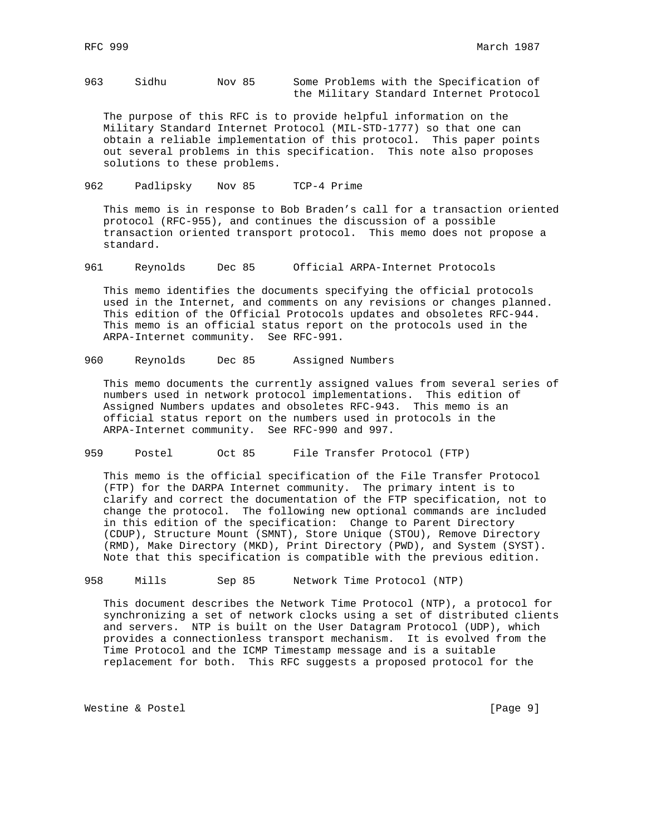963 Sidhu Nov 85 Some Problems with the Specification of the Military Standard Internet Protocol

 The purpose of this RFC is to provide helpful information on the Military Standard Internet Protocol (MIL-STD-1777) so that one can obtain a reliable implementation of this protocol. This paper points out several problems in this specification. This note also proposes solutions to these problems.

962 Padlipsky Nov 85 TCP-4 Prime

 This memo is in response to Bob Braden's call for a transaction oriented protocol (RFC-955), and continues the discussion of a possible transaction oriented transport protocol. This memo does not propose a standard.

961 Reynolds Dec 85 Official ARPA-Internet Protocols

 This memo identifies the documents specifying the official protocols used in the Internet, and comments on any revisions or changes planned. This edition of the Official Protocols updates and obsoletes RFC-944. This memo is an official status report on the protocols used in the ARPA-Internet community. See RFC-991.

960 Reynolds Dec 85 Assigned Numbers

 This memo documents the currently assigned values from several series of numbers used in network protocol implementations. This edition of Assigned Numbers updates and obsoletes RFC-943. This memo is an official status report on the numbers used in protocols in the ARPA-Internet community. See RFC-990 and 997.

959 Postel Oct 85 File Transfer Protocol (FTP)

 This memo is the official specification of the File Transfer Protocol (FTP) for the DARPA Internet community. The primary intent is to clarify and correct the documentation of the FTP specification, not to change the protocol. The following new optional commands are included in this edition of the specification: Change to Parent Directory (CDUP), Structure Mount (SMNT), Store Unique (STOU), Remove Directory (RMD), Make Directory (MKD), Print Directory (PWD), and System (SYST). Note that this specification is compatible with the previous edition.

958 Mills Sep 85 Network Time Protocol (NTP)

 This document describes the Network Time Protocol (NTP), a protocol for synchronizing a set of network clocks using a set of distributed clients and servers. NTP is built on the User Datagram Protocol (UDP), which provides a connectionless transport mechanism. It is evolved from the Time Protocol and the ICMP Timestamp message and is a suitable replacement for both. This RFC suggests a proposed protocol for the

Westine & Postel and the contract of the contract of the contract of the contract of  $[Page 9]$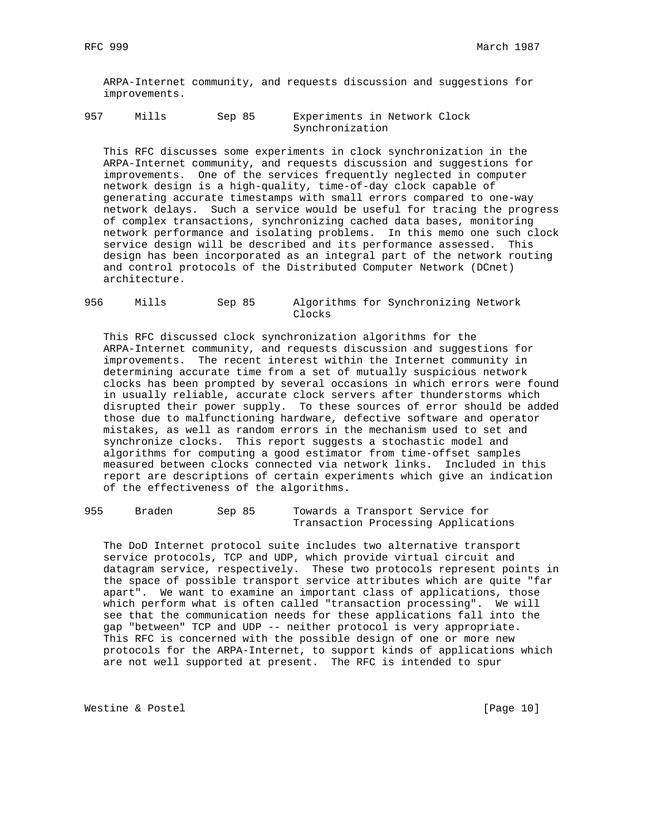ARPA-Internet community, and requests discussion and suggestions for improvements.

957 Mills Sep 85 Experiments in Network Clock Synchronization

 This RFC discusses some experiments in clock synchronization in the ARPA-Internet community, and requests discussion and suggestions for improvements. One of the services frequently neglected in computer network design is a high-quality, time-of-day clock capable of generating accurate timestamps with small errors compared to one-way network delays. Such a service would be useful for tracing the progress of complex transactions, synchronizing cached data bases, monitoring network performance and isolating problems. In this memo one such clock service design will be described and its performance assessed. This design has been incorporated as an integral part of the network routing and control protocols of the Distributed Computer Network (DCnet) architecture.

956 Mills Sep 85 Algorithms for Synchronizing Network Clocks

 This RFC discussed clock synchronization algorithms for the ARPA-Internet community, and requests discussion and suggestions for improvements. The recent interest within the Internet community in determining accurate time from a set of mutually suspicious network clocks has been prompted by several occasions in which errors were found in usually reliable, accurate clock servers after thunderstorms which disrupted their power supply. To these sources of error should be added those due to malfunctioning hardware, defective software and operator mistakes, as well as random errors in the mechanism used to set and synchronize clocks. This report suggests a stochastic model and algorithms for computing a good estimator from time-offset samples measured between clocks connected via network links. Included in this report are descriptions of certain experiments which give an indication of the effectiveness of the algorithms.

| 955 | Braden | Sep 85 | Towards a Transport Service for |                                     |
|-----|--------|--------|---------------------------------|-------------------------------------|
|     |        |        |                                 | Transaction Processing Applications |

 The DoD Internet protocol suite includes two alternative transport service protocols, TCP and UDP, which provide virtual circuit and datagram service, respectively. These two protocols represent points in the space of possible transport service attributes which are quite "far apart". We want to examine an important class of applications, those which perform what is often called "transaction processing". We will see that the communication needs for these applications fall into the gap "between" TCP and UDP -- neither protocol is very appropriate. This RFC is concerned with the possible design of one or more new protocols for the ARPA-Internet, to support kinds of applications which are not well supported at present. The RFC is intended to spur

Westine & Postel [Page 10]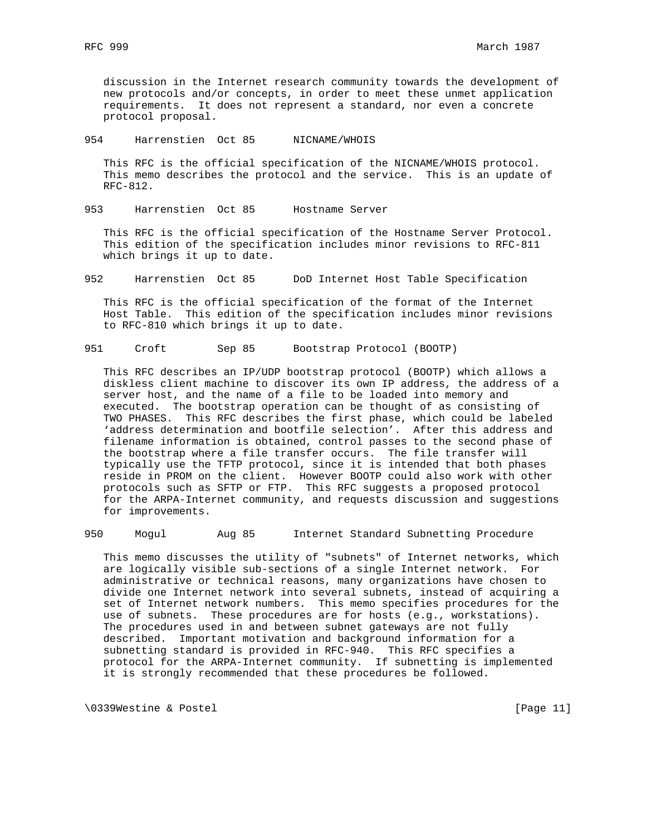discussion in the Internet research community towards the development of new protocols and/or concepts, in order to meet these unmet application requirements. It does not represent a standard, nor even a concrete protocol proposal.

954 Harrenstien Oct 85 NICNAME/WHOIS

 This RFC is the official specification of the NICNAME/WHOIS protocol. This memo describes the protocol and the service. This is an update of RFC-812.

953 Harrenstien Oct 85 Hostname Server

 This RFC is the official specification of the Hostname Server Protocol. This edition of the specification includes minor revisions to RFC-811 which brings it up to date.

952 Harrenstien Oct 85 DoD Internet Host Table Specification

 This RFC is the official specification of the format of the Internet Host Table. This edition of the specification includes minor revisions to RFC-810 which brings it up to date.

951 Croft Sep 85 Bootstrap Protocol (BOOTP)

 This RFC describes an IP/UDP bootstrap protocol (BOOTP) which allows a diskless client machine to discover its own IP address, the address of a server host, and the name of a file to be loaded into memory and executed. The bootstrap operation can be thought of as consisting of TWO PHASES. This RFC describes the first phase, which could be labeled 'address determination and bootfile selection'. After this address and filename information is obtained, control passes to the second phase of the bootstrap where a file transfer occurs. The file transfer will typically use the TFTP protocol, since it is intended that both phases reside in PROM on the client. However BOOTP could also work with other protocols such as SFTP or FTP. This RFC suggests a proposed protocol for the ARPA-Internet community, and requests discussion and suggestions for improvements.

950 Mogul Aug 85 Internet Standard Subnetting Procedure

 This memo discusses the utility of "subnets" of Internet networks, which are logically visible sub-sections of a single Internet network. For administrative or technical reasons, many organizations have chosen to divide one Internet network into several subnets, instead of acquiring a set of Internet network numbers. This memo specifies procedures for the use of subnets. These procedures are for hosts (e.g., workstations). The procedures used in and between subnet gateways are not fully described. Important motivation and background information for a subnetting standard is provided in RFC-940. This RFC specifies a protocol for the ARPA-Internet community. If subnetting is implemented it is strongly recommended that these procedures be followed.

\0339Westine & Postel [Page 11]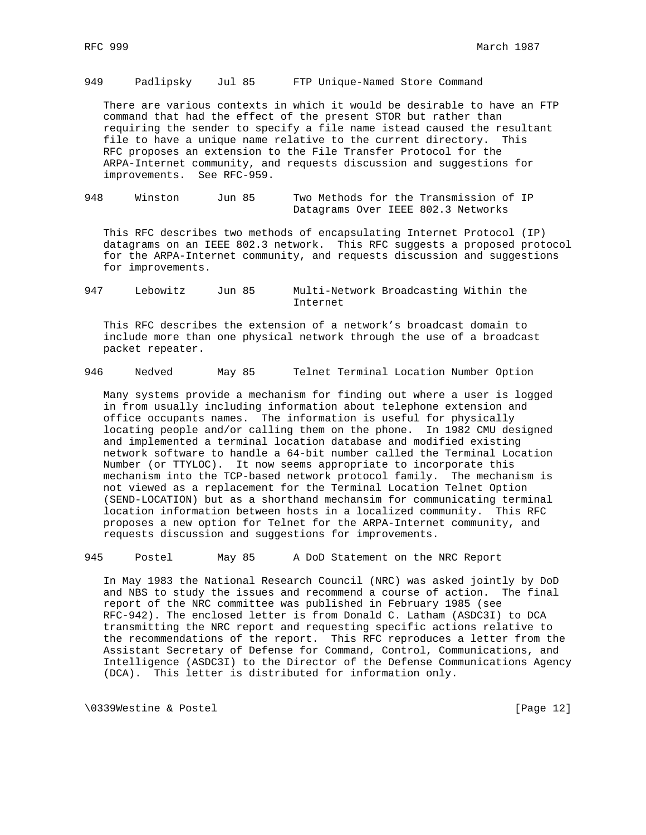949 Padlipsky Jul 85 FTP Unique-Named Store Command

 There are various contexts in which it would be desirable to have an FTP command that had the effect of the present STOR but rather than requiring the sender to specify a file name istead caused the resultant file to have a unique name relative to the current directory. This RFC proposes an extension to the File Transfer Protocol for the ARPA-Internet community, and requests discussion and suggestions for improvements. See RFC-959.

948 Winston Jun 85 Two Methods for the Transmission of IP Datagrams Over IEEE 802.3 Networks

 This RFC describes two methods of encapsulating Internet Protocol (IP) datagrams on an IEEE 802.3 network. This RFC suggests a proposed protocol for the ARPA-Internet community, and requests discussion and suggestions for improvements.

947 Lebowitz Jun 85 Multi-Network Broadcasting Within the Internet

 This RFC describes the extension of a network's broadcast domain to include more than one physical network through the use of a broadcast packet repeater.

946 Nedved May 85 Telnet Terminal Location Number Option

 Many systems provide a mechanism for finding out where a user is logged in from usually including information about telephone extension and office occupants names. The information is useful for physically locating people and/or calling them on the phone. In 1982 CMU designed and implemented a terminal location database and modified existing network software to handle a 64-bit number called the Terminal Location Number (or TTYLOC). It now seems appropriate to incorporate this mechanism into the TCP-based network protocol family. The mechanism is not viewed as a replacement for the Terminal Location Telnet Option (SEND-LOCATION) but as a shorthand mechansim for communicating terminal location information between hosts in a localized community. This RFC proposes a new option for Telnet for the ARPA-Internet community, and requests discussion and suggestions for improvements.

945 Postel May 85 A DoD Statement on the NRC Report

 In May 1983 the National Research Council (NRC) was asked jointly by DoD and NBS to study the issues and recommend a course of action. The final report of the NRC committee was published in February 1985 (see RFC-942). The enclosed letter is from Donald C. Latham (ASDC3I) to DCA transmitting the NRC report and requesting specific actions relative to the recommendations of the report. This RFC reproduces a letter from the Assistant Secretary of Defense for Command, Control, Communications, and Intelligence (ASDC3I) to the Director of the Defense Communications Agency (DCA). This letter is distributed for information only.

\0339Westine & Postel [Page 12]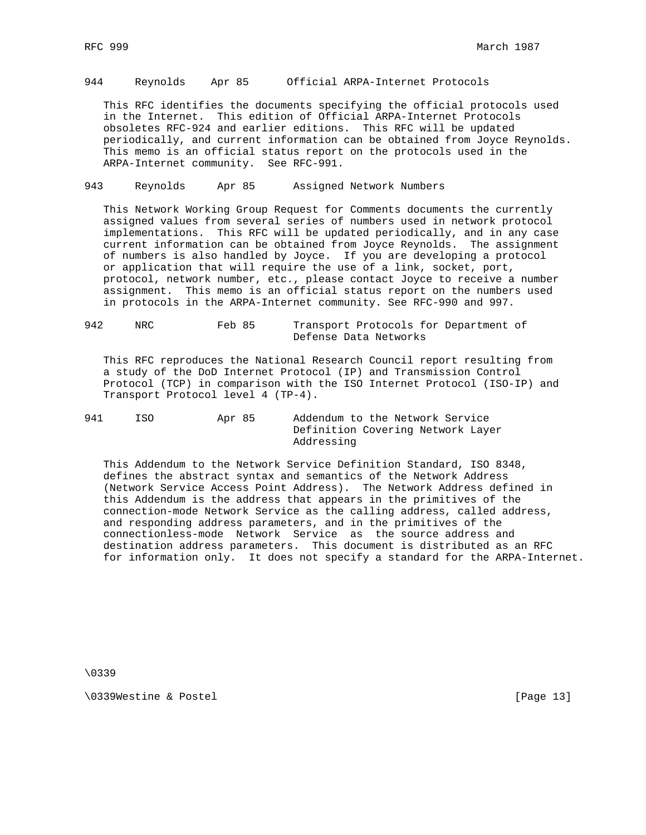### 944 Reynolds Apr 85 Official ARPA-Internet Protocols

 This RFC identifies the documents specifying the official protocols used in the Internet. This edition of Official ARPA-Internet Protocols obsoletes RFC-924 and earlier editions. This RFC will be updated periodically, and current information can be obtained from Joyce Reynolds. This memo is an official status report on the protocols used in the ARPA-Internet community. See RFC-991.

## 943 Reynolds Apr 85 Assigned Network Numbers

 This Network Working Group Request for Comments documents the currently assigned values from several series of numbers used in network protocol implementations. This RFC will be updated periodically, and in any case current information can be obtained from Joyce Reynolds. The assignment of numbers is also handled by Joyce. If you are developing a protocol or application that will require the use of a link, socket, port, protocol, network number, etc., please contact Joyce to receive a number assignment. This memo is an official status report on the numbers used in protocols in the ARPA-Internet community. See RFC-990 and 997.

#### 942 NRC Feb 85 Transport Protocols for Department of Defense Data Networks

 This RFC reproduces the National Research Council report resulting from a study of the DoD Internet Protocol (IP) and Transmission Control Protocol (TCP) in comparison with the ISO Internet Protocol (ISO-IP) and Transport Protocol level 4 (TP-4).

## 941 ISO Apr 85 Addendum to the Network Service Definition Covering Network Layer Addressing

 This Addendum to the Network Service Definition Standard, ISO 8348, defines the abstract syntax and semantics of the Network Address (Network Service Access Point Address). The Network Address defined in this Addendum is the address that appears in the primitives of the connection-mode Network Service as the calling address, called address, and responding address parameters, and in the primitives of the connectionless-mode Network Service as the source address and destination address parameters. This document is distributed as an RFC for information only. It does not specify a standard for the ARPA-Internet.

\0339

\0339Westine & Postel [Page 13]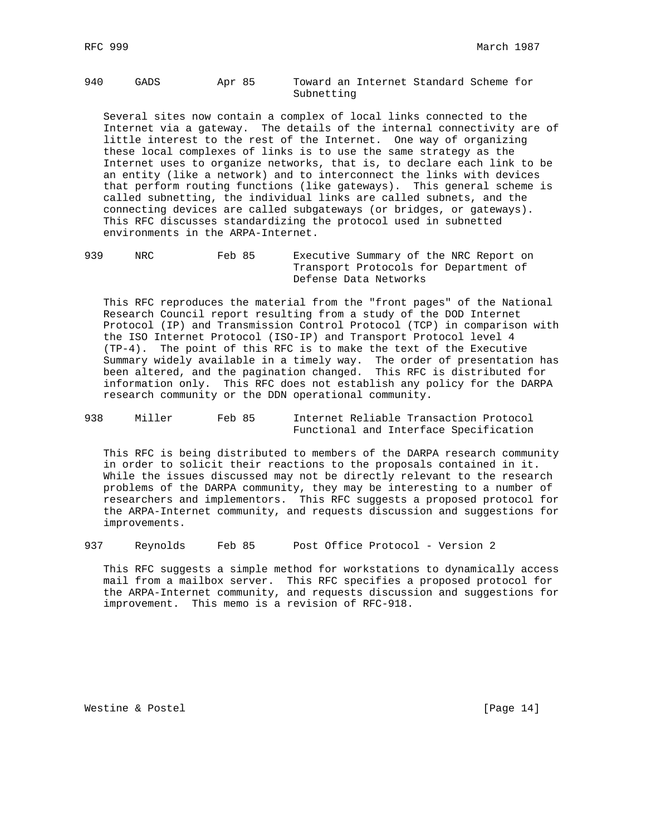## 940 GADS Apr 85 Toward an Internet Standard Scheme for Subnetting

 Several sites now contain a complex of local links connected to the Internet via a gateway. The details of the internal connectivity are of little interest to the rest of the Internet. One way of organizing these local complexes of links is to use the same strategy as the Internet uses to organize networks, that is, to declare each link to be an entity (like a network) and to interconnect the links with devices that perform routing functions (like gateways). This general scheme is called subnetting, the individual links are called subnets, and the connecting devices are called subgateways (or bridges, or gateways). This RFC discusses standardizing the protocol used in subnetted environments in the ARPA-Internet.

939 NRC Feb 85 Executive Summary of the NRC Report on Transport Protocols for Department of Defense Data Networks

 This RFC reproduces the material from the "front pages" of the National Research Council report resulting from a study of the DOD Internet Protocol (IP) and Transmission Control Protocol (TCP) in comparison with the ISO Internet Protocol (ISO-IP) and Transport Protocol level 4 (TP-4). The point of this RFC is to make the text of the Executive Summary widely available in a timely way. The order of presentation has been altered, and the pagination changed. This RFC is distributed for information only. This RFC does not establish any policy for the DARPA research community or the DDN operational community.

### 938 Miller Feb 85 Internet Reliable Transaction Protocol Functional and Interface Specification

 This RFC is being distributed to members of the DARPA research community in order to solicit their reactions to the proposals contained in it. While the issues discussed may not be directly relevant to the research problems of the DARPA community, they may be interesting to a number of researchers and implementors. This RFC suggests a proposed protocol for the ARPA-Internet community, and requests discussion and suggestions for improvements.

937 Reynolds Feb 85 Post Office Protocol - Version 2

 This RFC suggests a simple method for workstations to dynamically access mail from a mailbox server. This RFC specifies a proposed protocol for the ARPA-Internet community, and requests discussion and suggestions for improvement. This memo is a revision of RFC-918.

Westine & Postel [Page 14]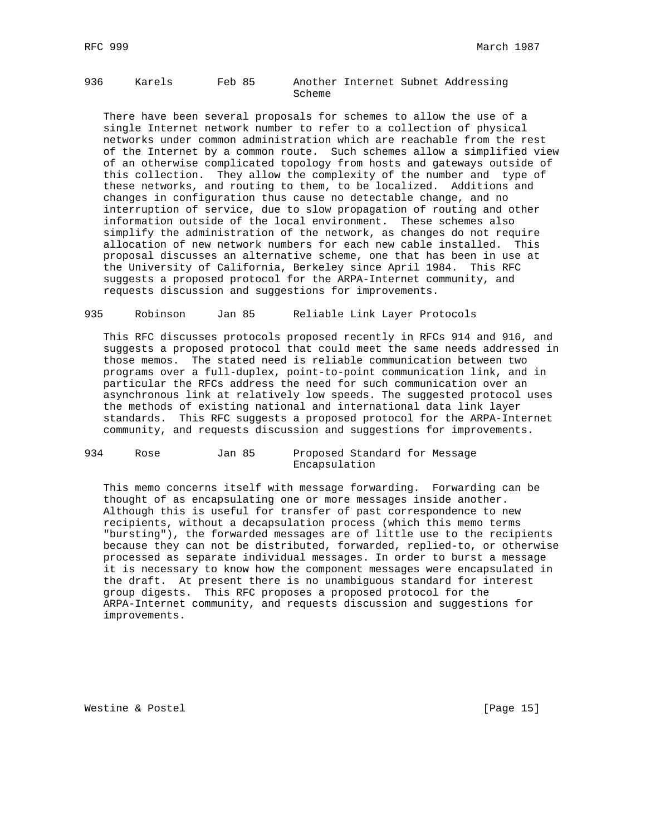## 936 Karels Feb 85 Another Internet Subnet Addressing Scheme

 There have been several proposals for schemes to allow the use of a single Internet network number to refer to a collection of physical networks under common administration which are reachable from the rest of the Internet by a common route. Such schemes allow a simplified view of an otherwise complicated topology from hosts and gateways outside of this collection. They allow the complexity of the number and type of these networks, and routing to them, to be localized. Additions and changes in configuration thus cause no detectable change, and no interruption of service, due to slow propagation of routing and other information outside of the local environment. These schemes also simplify the administration of the network, as changes do not require allocation of new network numbers for each new cable installed. This proposal discusses an alternative scheme, one that has been in use at the University of California, Berkeley since April 1984. This RFC suggests a proposed protocol for the ARPA-Internet community, and requests discussion and suggestions for improvements.

#### 935 Robinson Jan 85 Reliable Link Layer Protocols

 This RFC discusses protocols proposed recently in RFCs 914 and 916, and suggests a proposed protocol that could meet the same needs addressed in those memos. The stated need is reliable communication between two programs over a full-duplex, point-to-point communication link, and in particular the RFCs address the need for such communication over an asynchronous link at relatively low speeds. The suggested protocol uses the methods of existing national and international data link layer standards. This RFC suggests a proposed protocol for the ARPA-Internet community, and requests discussion and suggestions for improvements.

#### 934 Rose Jan 85 Proposed Standard for Message Encapsulation

 This memo concerns itself with message forwarding. Forwarding can be thought of as encapsulating one or more messages inside another. Although this is useful for transfer of past correspondence to new recipients, without a decapsulation process (which this memo terms "bursting"), the forwarded messages are of little use to the recipients because they can not be distributed, forwarded, replied-to, or otherwise processed as separate individual messages. In order to burst a message it is necessary to know how the component messages were encapsulated in the draft. At present there is no unambiguous standard for interest group digests. This RFC proposes a proposed protocol for the ARPA-Internet community, and requests discussion and suggestions for improvements.

Westine & Postel [Page 15]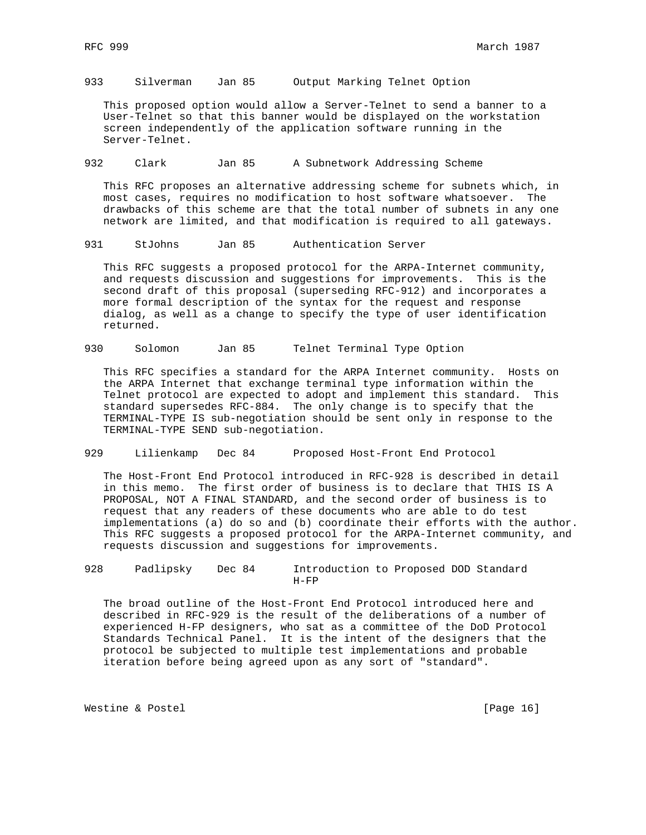933 Silverman Jan 85 Output Marking Telnet Option

 This proposed option would allow a Server-Telnet to send a banner to a User-Telnet so that this banner would be displayed on the workstation screen independently of the application software running in the Server-Telnet.

932 Clark Jan 85 A Subnetwork Addressing Scheme

 This RFC proposes an alternative addressing scheme for subnets which, in most cases, requires no modification to host software whatsoever. The drawbacks of this scheme are that the total number of subnets in any one network are limited, and that modification is required to all gateways.

931 StJohns Jan 85 Authentication Server

 This RFC suggests a proposed protocol for the ARPA-Internet community, and requests discussion and suggestions for improvements. This is the second draft of this proposal (superseding RFC-912) and incorporates a more formal description of the syntax for the request and response dialog, as well as a change to specify the type of user identification returned.

930 Solomon Jan 85 Telnet Terminal Type Option

 This RFC specifies a standard for the ARPA Internet community. Hosts on the ARPA Internet that exchange terminal type information within the Telnet protocol are expected to adopt and implement this standard. This standard supersedes RFC-884. The only change is to specify that the TERMINAL-TYPE IS sub-negotiation should be sent only in response to the TERMINAL-TYPE SEND sub-negotiation.

929 Lilienkamp Dec 84 Proposed Host-Front End Protocol

 The Host-Front End Protocol introduced in RFC-928 is described in detail in this memo. The first order of business is to declare that THIS IS A PROPOSAL, NOT A FINAL STANDARD, and the second order of business is to request that any readers of these documents who are able to do test implementations (a) do so and (b) coordinate their efforts with the author. This RFC suggests a proposed protocol for the ARPA-Internet community, and requests discussion and suggestions for improvements.

928 Padlipsky Dec 84 Introduction to Proposed DOD Standard H-FP

 The broad outline of the Host-Front End Protocol introduced here and described in RFC-929 is the result of the deliberations of a number of experienced H-FP designers, who sat as a committee of the DoD Protocol Standards Technical Panel. It is the intent of the designers that the protocol be subjected to multiple test implementations and probable iteration before being agreed upon as any sort of "standard".

Westine & Postel [Page 16]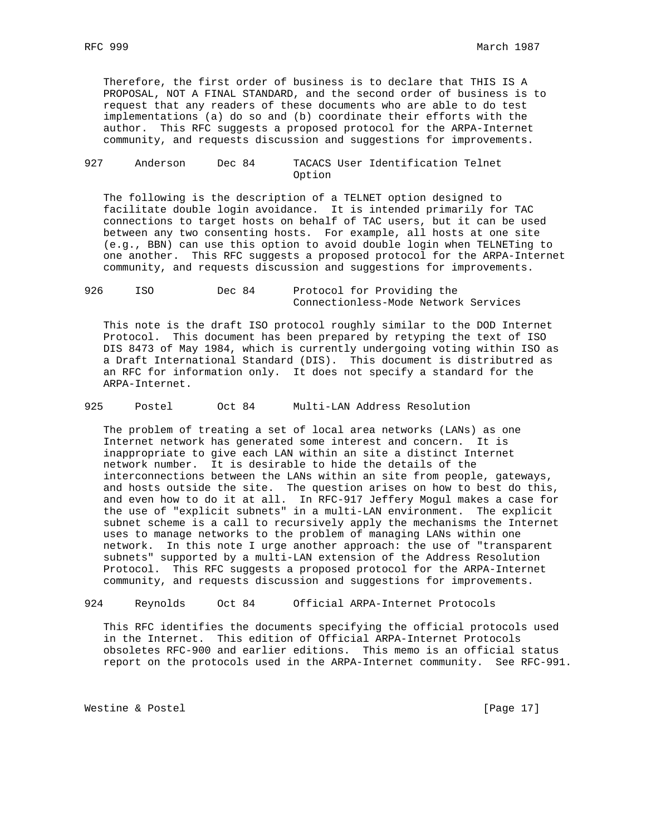Therefore, the first order of business is to declare that THIS IS A PROPOSAL, NOT A FINAL STANDARD, and the second order of business is to request that any readers of these documents who are able to do test implementations (a) do so and (b) coordinate their efforts with the author. This RFC suggests a proposed protocol for the ARPA-Internet community, and requests discussion and suggestions for improvements.

#### 927 Anderson Dec 84 TACACS User Identification Telnet Option

 The following is the description of a TELNET option designed to facilitate double login avoidance. It is intended primarily for TAC connections to target hosts on behalf of TAC users, but it can be used between any two consenting hosts. For example, all hosts at one site (e.g., BBN) can use this option to avoid double login when TELNETing to one another. This RFC suggests a proposed protocol for the ARPA-Internet community, and requests discussion and suggestions for improvements.

926 ISO Dec 84 Protocol for Providing the Connectionless-Mode Network Services

 This note is the draft ISO protocol roughly similar to the DOD Internet Protocol. This document has been prepared by retyping the text of ISO DIS 8473 of May 1984, which is currently undergoing voting within ISO as a Draft International Standard (DIS). This document is distributred as an RFC for information only. It does not specify a standard for the ARPA-Internet.

## 925 Postel Oct 84 Multi-LAN Address Resolution

 The problem of treating a set of local area networks (LANs) as one Internet network has generated some interest and concern. It is inappropriate to give each LAN within an site a distinct Internet network number. It is desirable to hide the details of the interconnections between the LANs within an site from people, gateways, and hosts outside the site. The question arises on how to best do this, and even how to do it at all. In RFC-917 Jeffery Mogul makes a case for the use of "explicit subnets" in a multi-LAN environment. The explicit subnet scheme is a call to recursively apply the mechanisms the Internet uses to manage networks to the problem of managing LANs within one network. In this note I urge another approach: the use of "transparent subnets" supported by a multi-LAN extension of the Address Resolution Protocol. This RFC suggests a proposed protocol for the ARPA-Internet community, and requests discussion and suggestions for improvements.

924 Reynolds Oct 84 Official ARPA-Internet Protocols

 This RFC identifies the documents specifying the official protocols used in the Internet. This edition of Official ARPA-Internet Protocols obsoletes RFC-900 and earlier editions. This memo is an official status report on the protocols used in the ARPA-Internet community. See RFC-991.

Westine & Postel [Page 17]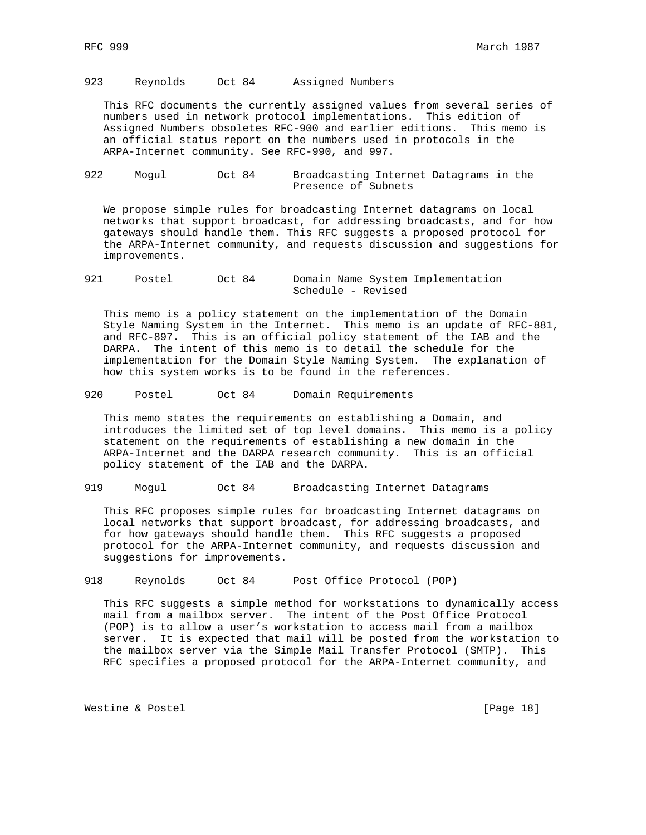923 Reynolds Oct 84 Assigned Numbers

 This RFC documents the currently assigned values from several series of numbers used in network protocol implementations. This edition of Assigned Numbers obsoletes RFC-900 and earlier editions. This memo is an official status report on the numbers used in protocols in the ARPA-Internet community. See RFC-990, and 997.

922 Mogul Oct 84 Broadcasting Internet Datagrams in the Presence of Subnets

 We propose simple rules for broadcasting Internet datagrams on local networks that support broadcast, for addressing broadcasts, and for how gateways should handle them. This RFC suggests a proposed protocol for the ARPA-Internet community, and requests discussion and suggestions for improvements.

921 Postel Oct 84 Domain Name System Implementation Schedule - Revised

 This memo is a policy statement on the implementation of the Domain Style Naming System in the Internet. This memo is an update of RFC-881, and RFC-897. This is an official policy statement of the IAB and the DARPA. The intent of this memo is to detail the schedule for the implementation for the Domain Style Naming System. The explanation of how this system works is to be found in the references.

920 Postel Oct 84 Domain Requirements

 This memo states the requirements on establishing a Domain, and introduces the limited set of top level domains. This memo is a policy statement on the requirements of establishing a new domain in the ARPA-Internet and the DARPA research community. This is an official policy statement of the IAB and the DARPA.

919 Mogul Oct 84 Broadcasting Internet Datagrams

 This RFC proposes simple rules for broadcasting Internet datagrams on local networks that support broadcast, for addressing broadcasts, and for how gateways should handle them. This RFC suggests a proposed protocol for the ARPA-Internet community, and requests discussion and suggestions for improvements.

918 Reynolds Oct 84 Post Office Protocol (POP)

 This RFC suggests a simple method for workstations to dynamically access mail from a mailbox server. The intent of the Post Office Protocol (POP) is to allow a user's workstation to access mail from a mailbox server. It is expected that mail will be posted from the workstation to the mailbox server via the Simple Mail Transfer Protocol (SMTP). This RFC specifies a proposed protocol for the ARPA-Internet community, and

Westine & Postel [Page 18]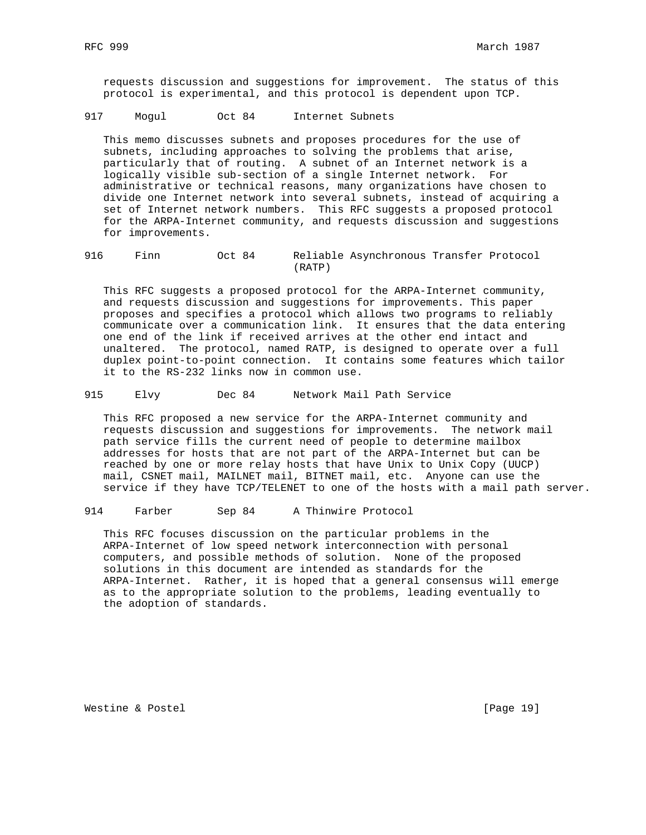requests discussion and suggestions for improvement. The status of this protocol is experimental, and this protocol is dependent upon TCP.

917 Mogul Oct 84 Internet Subnets

 This memo discusses subnets and proposes procedures for the use of subnets, including approaches to solving the problems that arise, particularly that of routing. A subnet of an Internet network is a logically visible sub-section of a single Internet network. For administrative or technical reasons, many organizations have chosen to divide one Internet network into several subnets, instead of acquiring a set of Internet network numbers. This RFC suggests a proposed protocol for the ARPA-Internet community, and requests discussion and suggestions for improvements.

916 Finn Oct 84 Reliable Asynchronous Transfer Protocol (RATP)

 This RFC suggests a proposed protocol for the ARPA-Internet community, and requests discussion and suggestions for improvements. This paper proposes and specifies a protocol which allows two programs to reliably communicate over a communication link. It ensures that the data entering one end of the link if received arrives at the other end intact and unaltered. The protocol, named RATP, is designed to operate over a full duplex point-to-point connection. It contains some features which tailor it to the RS-232 links now in common use.

915 Elvy Dec 84 Network Mail Path Service

 This RFC proposed a new service for the ARPA-Internet community and requests discussion and suggestions for improvements. The network mail path service fills the current need of people to determine mailbox addresses for hosts that are not part of the ARPA-Internet but can be reached by one or more relay hosts that have Unix to Unix Copy (UUCP) mail, CSNET mail, MAILNET mail, BITNET mail, etc. Anyone can use the service if they have TCP/TELENET to one of the hosts with a mail path server.

914 Farber Sep 84 A Thinwire Protocol

 This RFC focuses discussion on the particular problems in the ARPA-Internet of low speed network interconnection with personal computers, and possible methods of solution. None of the proposed solutions in this document are intended as standards for the ARPA-Internet. Rather, it is hoped that a general consensus will emerge as to the appropriate solution to the problems, leading eventually to the adoption of standards.

Westine & Postel [Page 19]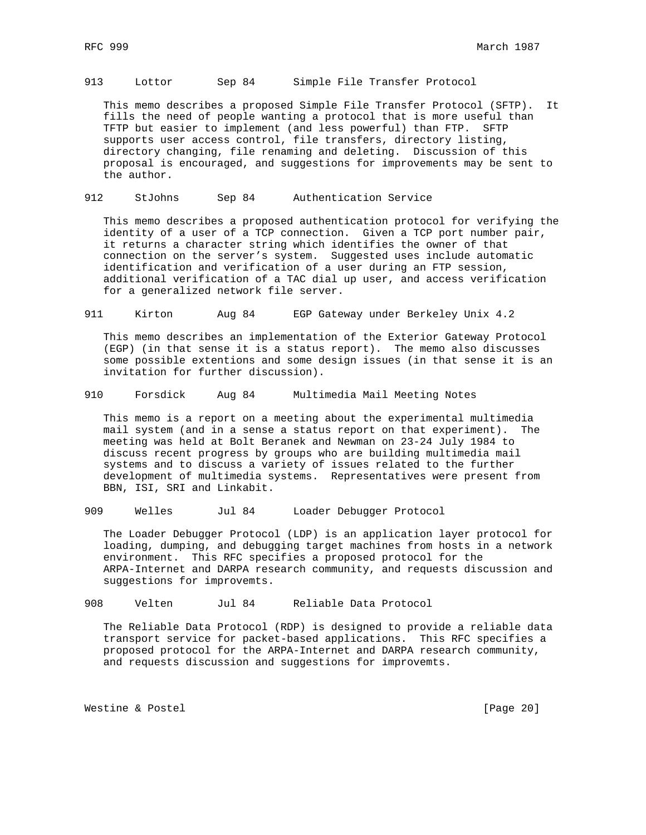913 Lottor Sep 84 Simple File Transfer Protocol

 This memo describes a proposed Simple File Transfer Protocol (SFTP). It fills the need of people wanting a protocol that is more useful than TFTP but easier to implement (and less powerful) than FTP. SFTP supports user access control, file transfers, directory listing, directory changing, file renaming and deleting. Discussion of this proposal is encouraged, and suggestions for improvements may be sent to the author.

912 StJohns Sep 84 Authentication Service

 This memo describes a proposed authentication protocol for verifying the identity of a user of a TCP connection. Given a TCP port number pair, it returns a character string which identifies the owner of that connection on the server's system. Suggested uses include automatic identification and verification of a user during an FTP session, additional verification of a TAC dial up user, and access verification for a generalized network file server.

911 Kirton Aug 84 EGP Gateway under Berkeley Unix 4.2

 This memo describes an implementation of the Exterior Gateway Protocol (EGP) (in that sense it is a status report). The memo also discusses some possible extentions and some design issues (in that sense it is an invitation for further discussion).

910 Forsdick Aug 84 Multimedia Mail Meeting Notes

 This memo is a report on a meeting about the experimental multimedia mail system (and in a sense a status report on that experiment). The meeting was held at Bolt Beranek and Newman on 23-24 July 1984 to discuss recent progress by groups who are building multimedia mail systems and to discuss a variety of issues related to the further development of multimedia systems. Representatives were present from BBN, ISI, SRI and Linkabit.

909 Welles Jul 84 Loader Debugger Protocol

 The Loader Debugger Protocol (LDP) is an application layer protocol for loading, dumping, and debugging target machines from hosts in a network environment. This RFC specifies a proposed protocol for the ARPA-Internet and DARPA research community, and requests discussion and suggestions for improvemts.

908 Velten Jul 84 Reliable Data Protocol

 The Reliable Data Protocol (RDP) is designed to provide a reliable data transport service for packet-based applications. This RFC specifies a proposed protocol for the ARPA-Internet and DARPA research community, and requests discussion and suggestions for improvemts.

Westine & Postel [Page 20]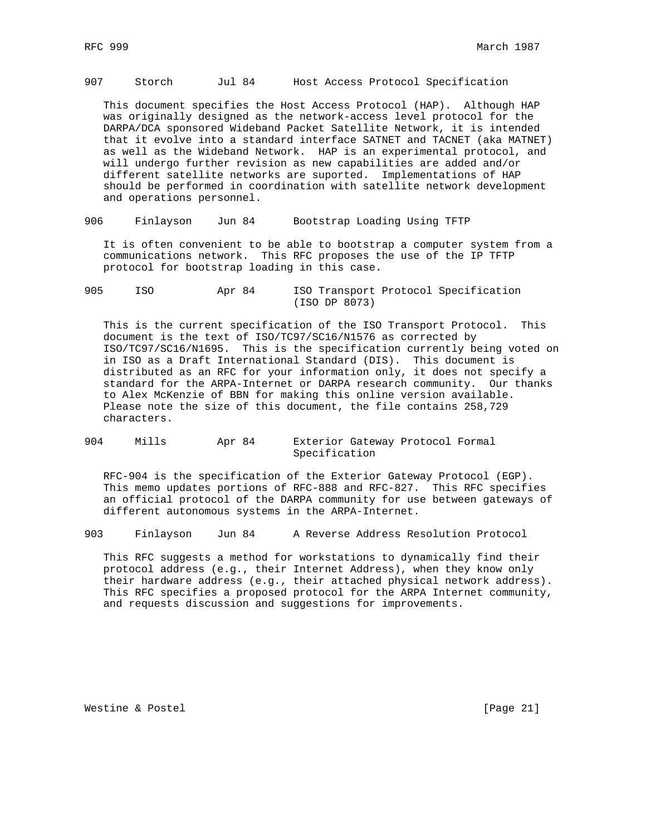907 Storch Jul 84 Host Access Protocol Specification

 This document specifies the Host Access Protocol (HAP). Although HAP was originally designed as the network-access level protocol for the DARPA/DCA sponsored Wideband Packet Satellite Network, it is intended that it evolve into a standard interface SATNET and TACNET (aka MATNET) as well as the Wideband Network. HAP is an experimental protocol, and will undergo further revision as new capabilities are added and/or different satellite networks are suported. Implementations of HAP should be performed in coordination with satellite network development and operations personnel.

906 Finlayson Jun 84 Bootstrap Loading Using TFTP

 It is often convenient to be able to bootstrap a computer system from a communications network. This RFC proposes the use of the IP TFTP protocol for bootstrap loading in this case.

905 ISO Apr 84 ISO Transport Protocol Specification (ISO DP 8073)

 This is the current specification of the ISO Transport Protocol. This document is the text of ISO/TC97/SC16/N1576 as corrected by ISO/TC97/SC16/N1695. This is the specification currently being voted on in ISO as a Draft International Standard (DIS). This document is distributed as an RFC for your information only, it does not specify a standard for the ARPA-Internet or DARPA research community. Our thanks to Alex McKenzie of BBN for making this online version available. Please note the size of this document, the file contains 258,729 characters.

904 Mills Apr 84 Exterior Gateway Protocol Formal Specification

 RFC-904 is the specification of the Exterior Gateway Protocol (EGP). This memo updates portions of RFC-888 and RFC-827. This RFC specifies an official protocol of the DARPA community for use between gateways of different autonomous systems in the ARPA-Internet.

903 Finlayson Jun 84 A Reverse Address Resolution Protocol

 This RFC suggests a method for workstations to dynamically find their protocol address (e.g., their Internet Address), when they know only their hardware address (e.g., their attached physical network address). This RFC specifies a proposed protocol for the ARPA Internet community, and requests discussion and suggestions for improvements.

Westine & Postel [Page 21]